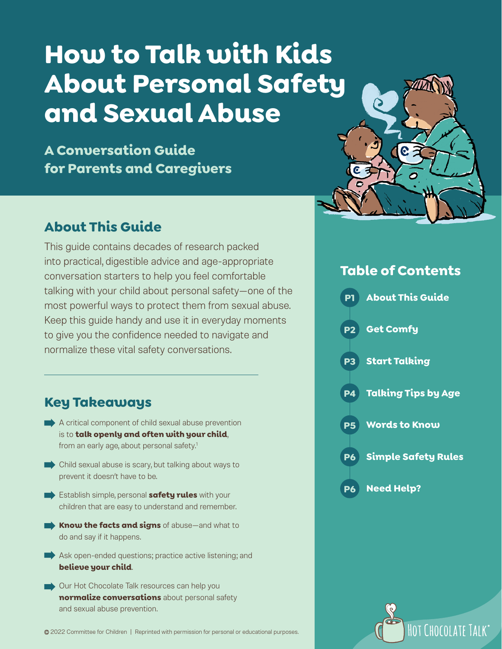# **How to Talk with Kids About Personal Safety and Sexual Abuse**

**A Conversation Guide for Parents and Caregivers**

### **About This Guide**

This guide contains decades of research packed into practical, digestible advice and age-appropriate conversation starters to help you feel comfortable talking with your child about personal safety—one of the most powerful ways to protect them from sexual abuse. Keep this guide handy and use it in everyday moments to give you the confidence needed to navigate and normalize these vital safety conversations.

### **Key Takeaways**

- $\blacktriangleright$  A critical component of child sexual abuse prevention is to **talk openly and often with your child**, from an early age, about personal safety.<sup>1</sup>
- Child sexual abuse is scary, but talking about ways to prevent it doesn't have to be.
- Establish simple, personal **safety rules** with your children that are easy to understand and remember.
- **• Know the facts and signs** of abuse—and what to do and say if it happens.
- Ask open-ended questions; practice active listening; and **believe your child**.
- Our Hot Chocolate Talk resources can help you **normalize conversations** about personal safety and sexual abuse prevention.





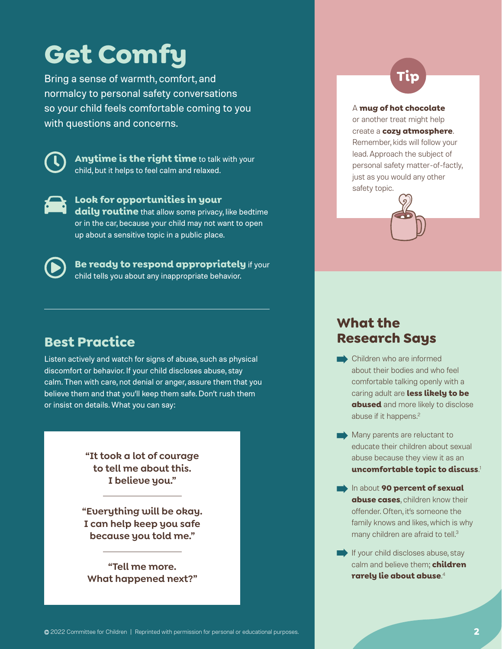## **Get Comfy**

Bring a sense of warmth, comfort, and normalcy to personal safety conversations so your child feels comfortable coming to you with questions and concerns.



**Anytime is the right time** to talk with your child, but it helps to feel calm and relaxed.



**Look for opportunities in your daily routine** that allow some privacy, like bedtime or in the car, because your child may not want to open up about a sensitive topic in a public place.



**Be ready to respond appropriately** if your child tells you about any inappropriate behavior.

### **Best Practice**

Listen actively and watch for signs of abuse, such as physical discomfort or behavior. If your child discloses abuse, stay calm. Then with care, not denial or anger, assure them that you believe them and that you'll keep them safe. Don't rush them or insist on details. What you can say:

> **"It took a lot of courage to tell me about this. I believe you."**

**"Everything will be okay. I can help keep you safe because you told me."**

**"Tell me more. What happened next?"**

### **Tip**

#### A **mug of hot chocolate**

or another treat might help create a **cozy atmosphere**. Remember, kids will follow your lead. Approach the subject of personal safety matter-of-factly, just as you would any other safety topic.



### **What the Research Says**

- **Children who are informed** about their bodies and who feel comfortable talking openly with a caring adult are **less likely to be abused** and more likely to disclose abuse if it happens.<sup>2</sup>
- Many parents are reluctant to educate their children about sexual abuse because they view it as an **uncomfortable topic to discuss**. 1
- **In about 90 percent of sexual abuse cases**, children know their offender. Often, it's someone the family knows and likes, which is why many children are afraid to tell.<sup>3</sup>
- $\blacksquare$  If your child discloses abuse, stay calm and believe them; **children rarely lie about abuse**. 4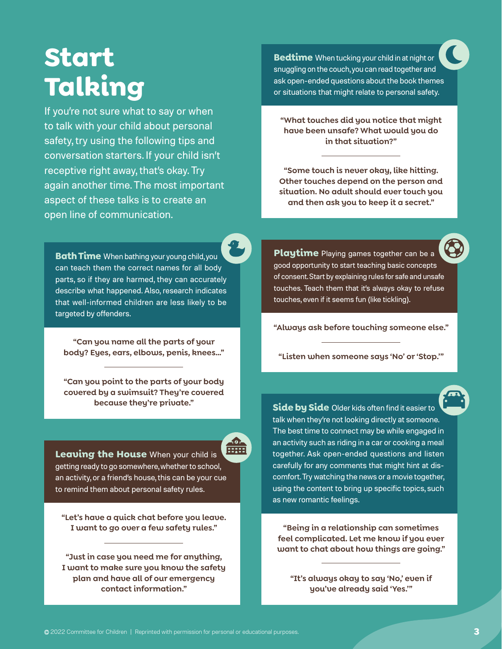### **Start Talking**

If you're not sure what to say or when to talk with your child about personal safety, try using the following tips and conversation starters. If your child isn't receptive right away, that's okay. Try again another time. The most important aspect of these talks is to create an open line of communication.

**Bath Time** When bathing your young child, you can teach them the correct names for all body parts, so if they are harmed, they can accurately describe what happened. Also, research indicates that well-informed children are less likely to be targeted by offenders.

**"Can you name all the parts of your body? Eyes, ears, elbows, penis, knees…"** 

**"Can you point to the parts of your body covered by a swimsuit? They're covered because they're private."**

स्रिय **Leaving the House** When your child is getting ready to go somewhere, whether to school, an activity, or a friend's house, this can be your cue to remind them about personal safety rules.

 $-10<sub>1</sub>$ 

**"Let's have a quick chat before you leave. I want to go over a few safety rules."** 

**"Just in case you need me for anything, I want to make sure you know the safety plan and have all of our emergency contact information."**

**Bedtime** When tucking your child in at night or snuggling on the couch, you can read together and ask open-ended questions about the book themes or situations that might relate to personal safety.

**"What touches did you notice that might have been unsafe? What would you do in that situation?"** 

**"Some touch is never okay, like hitting. Other touches depend on the person and situation. No adult should ever touch you and then ask you to keep it a secret."**

**Playtime** Playing games together can be a good opportunity to start teaching basic concepts of consent. Start by explaining rules for safe and unsafe touches. Teach them that it's always okay to refuse touches, even if it seems fun (like tickling).

**"Always ask before touching someone else."** 

**"Listen when someone says 'No' or 'Stop.'"**

**Side by Side** Older kids often find it easier to talk when they're not looking directly at someone. The best time to connect may be while engaged in an activity such as riding in a car or cooking a meal together. Ask open-ended questions and listen carefully for any comments that might hint at discomfort. Try watching the news or a movie together, using the content to bring up specific topics, such as new romantic feelings.

**"Being in a relationship can sometimes feel complicated. Let me know if you ever want to chat about how things are going."** 

**"It's always okay to say 'No,' even if you've already said 'Yes.'"**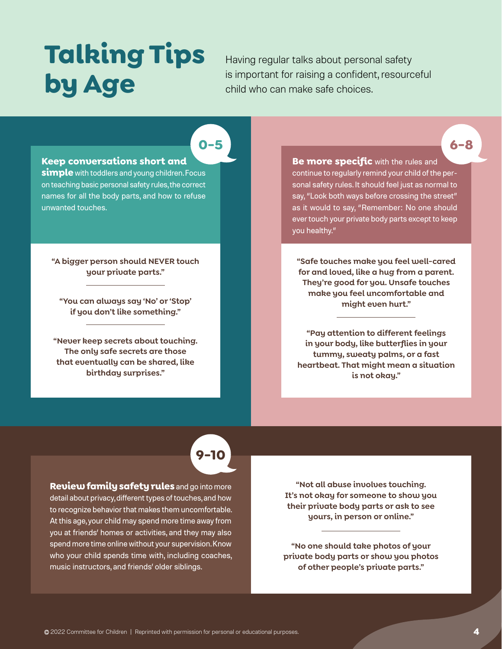# **Talking Tips by Age**

Having regular talks about personal safety is important for raising a confident, resourceful child who can make safe choices.

**0-5**

#### **Keep conversations short and**

**simple** with toddlers and young children. Focus on teaching basic personal safety rules, the correct names for all the body parts, and how to refuse unwanted touches.

**"A bigger person should NEVER touch your private parts."**

**"You can always say 'No' or 'Stop' if you don't like something."**

**"Never keep secrets about touching. The only safe secrets are those that eventually can be shared, like birthday surprises."**

**Be more specific** with the rules and continue to regularly remind your child of the personal safety rules. It should feel just as normal to say, "Look both ways before crossing the street" as it would to say, "Remember: No one should ever touch your private body parts except to keep you healthy."

**6-8**

**"Safe touches make you feel well-cared for and loved, like a hug from a parent. They're good for you. Unsafe touches make you feel uncomfortable and might even hurt."**

**"Pay attention to different feelings in your body, like butterflies in your tummy, sweaty palms, or a fast heartbeat. That might mean a situation is not okay."**

### **9-10**

**Review family safety rules** and go into more detail about privacy, different types of touches, and how to recognize behavior that makes them uncomfortable. At this age, your child may spend more time away from you at friends' homes or activities, and they may also spend more time online without your supervision. Know who your child spends time with, including coaches, music instructors, and friends' older siblings.

**"Not all abuse involves touching. It's not okay for someone to show you their private body parts or ask to see yours, in person or online."**

**"No one should take photos of your private body parts or show you photos of other people's private parts."**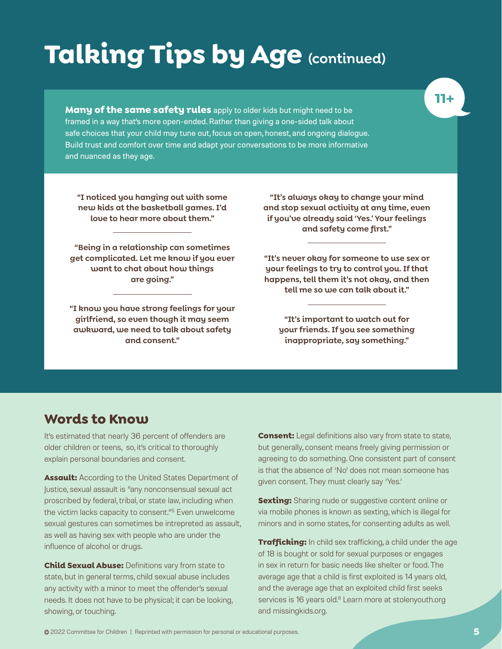# **Talking Tips by Age (continued)**

**Many of the same safety rules** apply to older kids but might need to be framed in a way that's more open-ended. Rather than giving a one-sided talk about safe choices that your child may tune out, focus on open, honest, and ongoing dialogue. Build trust and comfort over time and adapt your conversations to be more informative and nuanced as they age.

**"I noticed you hanging out with some new kids at the basketball games. I'd love to hear more about them."**

**"Being in a relationship can sometimes get complicated. Let me know if you ever want to chat about how things are going."**

**"I know you have strong feelings for your girlfriend, so even though it may seem awkward, we need to talk about safety and consent."**

**"It's always okay to change your mind and stop sexual activity at any time, even if you've already said 'Yes.' Your feelings and safety come first."**

**"It's never okay for someone to use sex or your feelings to try to control you. If that happens, tell them it's not okay, and then tell me so we can talk about it."**

**"It's important to watch out for your friends. If you see something inappropriate, say something."**

#### **Words to Know**

It's estimated that nearly 36 percent of offenders are older children or teens, so, it's critical to thoroughly explain personal boundaries and consent.

**Assault:** According to the United States Department of Justice, sexual assault is "any nonconsensual sexual act proscribed by federal, tribal, or state law, including when the victim lacks capacity to consent."5 Even unwelcome sexual gestures can sometimes be intrepreted as assault, as well as having sex with people who are under the influence of alcohol or drugs.

**Child Sexual Abuse:** Definitions vary from state to state, but in general terms, child sexual abuse includes any activity with a minor to meet the offender's sexual needs. It does not have to be physical; it can be looking, showing, or touching.

**Consent:** Legal definitions also vary from state to state, but generally, consent means freely giving permission or agreeing to do something. One consistent part of consent is that the absence of 'No' does not mean someone has given consent. They must clearly say 'Yes.'

**Sexting:** Sharing nude or suggestive content online or via mobile phones is known as sexting, which is illegal for minors and in some states, for consenting adults as well.

**Trafficking:** In child sex trafficking, a child under the age of 18 is bought or sold for sexual purposes or engages in sex in return for basic needs like shelter or food. The average age that a child is first exploited is 14 years old, and the average age that an exploited child first seeks services is 16 years old.<sup>6</sup> Learn more at [stolenyouth.org](https://stolenyouth.org/) and [missingkids.org](https://www.missingkids.org/).

#### **11+**